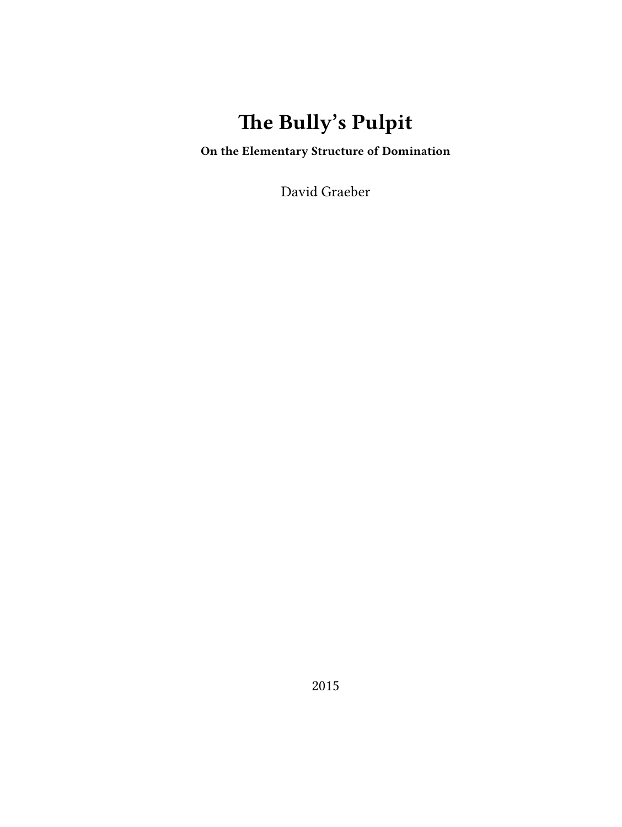# **The Bully's Pulpit**

**On the Elementary Structure of Domination**

David Graeber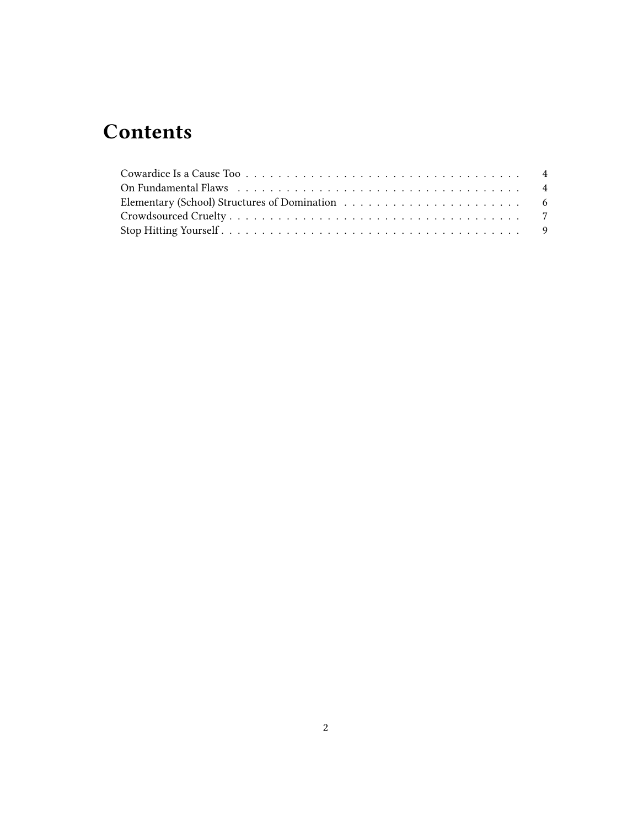# **Contents**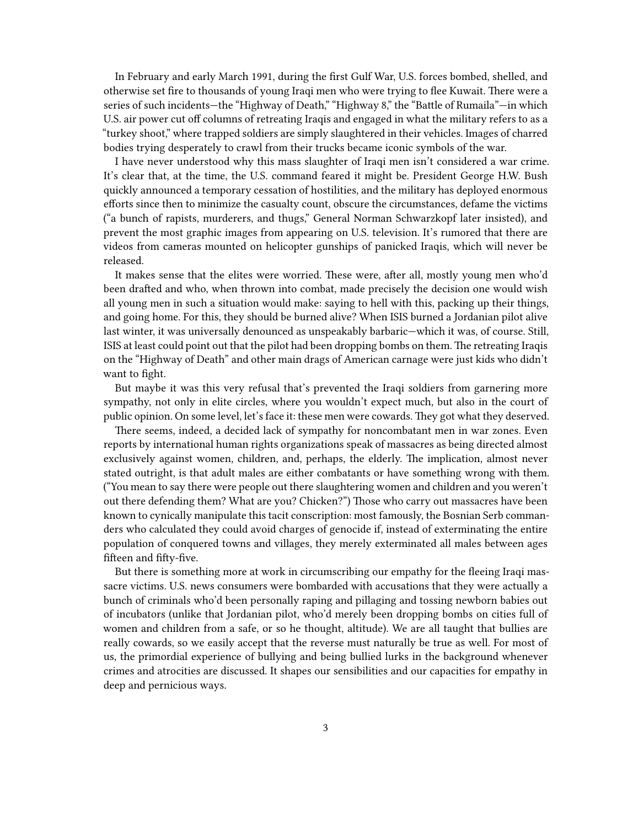In February and early March 1991, during the first Gulf War, U.S. forces bombed, shelled, and otherwise set fire to thousands of young Iraqi men who were trying to flee Kuwait. There were a series of such incidents—the "Highway of Death," "Highway 8," the "Battle of Rumaila"—in which U.S. air power cut off columns of retreating Iraqis and engaged in what the military refers to as a "turkey shoot," where trapped soldiers are simply slaughtered in their vehicles. Images of charred bodies trying desperately to crawl from their trucks became iconic symbols of the war.

I have never understood why this mass slaughter of Iraqi men isn't considered a war crime. It's clear that, at the time, the U.S. command feared it might be. President George H.W. Bush quickly announced a temporary cessation of hostilities, and the military has deployed enormous efforts since then to minimize the casualty count, obscure the circumstances, defame the victims ("a bunch of rapists, murderers, and thugs," General Norman Schwarzkopf later insisted), and prevent the most graphic images from appearing on U.S. television. It's rumored that there are videos from cameras mounted on helicopter gunships of panicked Iraqis, which will never be released.

It makes sense that the elites were worried. These were, after all, mostly young men who'd been drafted and who, when thrown into combat, made precisely the decision one would wish all young men in such a situation would make: saying to hell with this, packing up their things, and going home. For this, they should be burned alive? When ISIS burned a Jordanian pilot alive last winter, it was universally denounced as unspeakably barbaric—which it was, of course. Still, ISIS at least could point out that the pilot had been dropping bombs on them. The retreating Iraqis on the "Highway of Death" and other main drags of American carnage were just kids who didn't want to fight.

But maybe it was this very refusal that's prevented the Iraqi soldiers from garnering more sympathy, not only in elite circles, where you wouldn't expect much, but also in the court of public opinion. On some level, let's face it: these men were cowards. They got what they deserved.

There seems, indeed, a decided lack of sympathy for noncombatant men in war zones. Even reports by international human rights organizations speak of massacres as being directed almost exclusively against women, children, and, perhaps, the elderly. The implication, almost never stated outright, is that adult males are either combatants or have something wrong with them. ("You mean to say there were people out there slaughtering women and children and you weren't out there defending them? What are you? Chicken?") Those who carry out massacres have been known to cynically manipulate this tacit conscription: most famously, the Bosnian Serb commanders who calculated they could avoid charges of genocide if, instead of exterminating the entire population of conquered towns and villages, they merely exterminated all males between ages fifteen and fifty-five.

But there is something more at work in circumscribing our empathy for the fleeing Iraqi massacre victims. U.S. news consumers were bombarded with accusations that they were actually a bunch of criminals who'd been personally raping and pillaging and tossing newborn babies out of incubators (unlike that Jordanian pilot, who'd merely been dropping bombs on cities full of women and children from a safe, or so he thought, altitude). We are all taught that bullies are really cowards, so we easily accept that the reverse must naturally be true as well. For most of us, the primordial experience of bullying and being bullied lurks in the background whenever crimes and atrocities are discussed. It shapes our sensibilities and our capacities for empathy in deep and pernicious ways.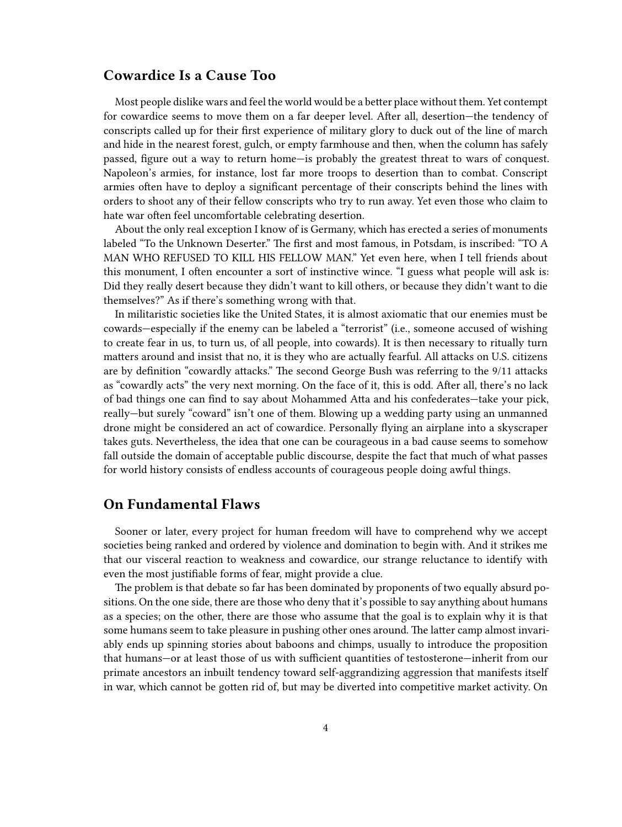#### <span id="page-3-0"></span>**Cowardice Is a Cause Too**

Most people dislike wars and feel the world would be a better place without them. Yet contempt for cowardice seems to move them on a far deeper level. After all, desertion—the tendency of conscripts called up for their first experience of military glory to duck out of the line of march and hide in the nearest forest, gulch, or empty farmhouse and then, when the column has safely passed, figure out a way to return home—is probably the greatest threat to wars of conquest. Napoleon's armies, for instance, lost far more troops to desertion than to combat. Conscript armies often have to deploy a significant percentage of their conscripts behind the lines with orders to shoot any of their fellow conscripts who try to run away. Yet even those who claim to hate war often feel uncomfortable celebrating desertion.

About the only real exception I know of is Germany, which has erected a series of monuments labeled "To the Unknown Deserter." The first and most famous, in Potsdam, is inscribed: "TO A MAN WHO REFUSED TO KILL HIS FELLOW MAN." Yet even here, when I tell friends about this monument, I often encounter a sort of instinctive wince. "I guess what people will ask is: Did they really desert because they didn't want to kill others, or because they didn't want to die themselves?" As if there's something wrong with that.

In militaristic societies like the United States, it is almost axiomatic that our enemies must be cowards—especially if the enemy can be labeled a "terrorist" (i.e., someone accused of wishing to create fear in us, to turn us, of all people, into cowards). It is then necessary to ritually turn matters around and insist that no, it is they who are actually fearful. All attacks on U.S. citizens are by definition "cowardly attacks." The second George Bush was referring to the 9/11 attacks as "cowardly acts" the very next morning. On the face of it, this is odd. After all, there's no lack of bad things one can find to say about Mohammed Atta and his confederates—take your pick, really—but surely "coward" isn't one of them. Blowing up a wedding party using an unmanned drone might be considered an act of cowardice. Personally flying an airplane into a skyscraper takes guts. Nevertheless, the idea that one can be courageous in a bad cause seems to somehow fall outside the domain of acceptable public discourse, despite the fact that much of what passes for world history consists of endless accounts of courageous people doing awful things.

#### <span id="page-3-1"></span>**On Fundamental Flaws**

Sooner or later, every project for human freedom will have to comprehend why we accept societies being ranked and ordered by violence and domination to begin with. And it strikes me that our visceral reaction to weakness and cowardice, our strange reluctance to identify with even the most justifiable forms of fear, might provide a clue.

The problem is that debate so far has been dominated by proponents of two equally absurd positions. On the one side, there are those who deny that it's possible to say anything about humans as a species; on the other, there are those who assume that the goal is to explain why it is that some humans seem to take pleasure in pushing other ones around. The latter camp almost invariably ends up spinning stories about baboons and chimps, usually to introduce the proposition that humans—or at least those of us with sufficient quantities of testosterone—inherit from our primate ancestors an inbuilt tendency toward self-aggrandizing aggression that manifests itself in war, which cannot be gotten rid of, but may be diverted into competitive market activity. On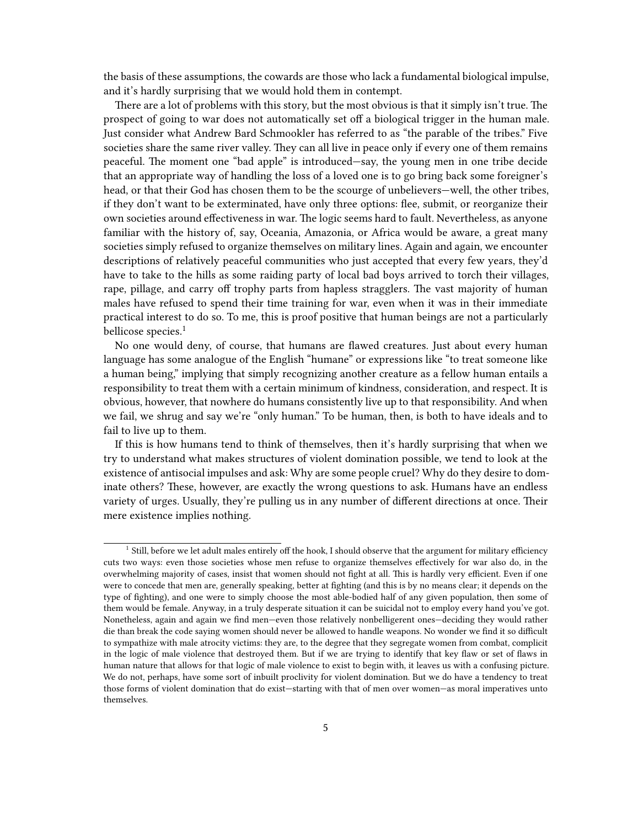the basis of these assumptions, the cowards are those who lack a fundamental biological impulse, and it's hardly surprising that we would hold them in contempt.

There are a lot of problems with this story, but the most obvious is that it simply isn't true. The prospect of going to war does not automatically set off a biological trigger in the human male. Just consider what Andrew Bard Schmookler has referred to as "the parable of the tribes." Five societies share the same river valley. They can all live in peace only if every one of them remains peaceful. The moment one "bad apple" is introduced—say, the young men in one tribe decide that an appropriate way of handling the loss of a loved one is to go bring back some foreigner's head, or that their God has chosen them to be the scourge of unbelievers—well, the other tribes, if they don't want to be exterminated, have only three options: flee, submit, or reorganize their own societies around effectiveness in war. The logic seems hard to fault. Nevertheless, as anyone familiar with the history of, say, Oceania, Amazonia, or Africa would be aware, a great many societies simply refused to organize themselves on military lines. Again and again, we encounter descriptions of relatively peaceful communities who just accepted that every few years, they'd have to take to the hills as some raiding party of local bad boys arrived to torch their villages, rape, pillage, and carry off trophy parts from hapless stragglers. The vast majority of human males have refused to spend their time training for war, even when it was in their immediate practical interest to do so. To me, this is proof positive that human beings are not a particularly bellicose species.<sup>1</sup>

No one would deny, of course, that humans are flawed creatures. Just about every human language has some analogue of the English "humane" or expressions like "to treat someone like a human being," implying that simply recognizing another creature as a fellow human entails a responsibility to treat them with a certain minimum of kindness, consideration, and respect. It is obvious, however, that nowhere do humans consistently live up to that responsibility. And when we fail, we shrug and say we're "only human." To be human, then, is both to have ideals and to fail to live up to them.

If this is how humans tend to think of themselves, then it's hardly surprising that when we try to understand what makes structures of violent domination possible, we tend to look at the existence of antisocial impulses and ask: Why are some people cruel? Why do they desire to dominate others? These, however, are exactly the wrong questions to ask. Humans have an endless variety of urges. Usually, they're pulling us in any number of different directions at once. Their mere existence implies nothing.

<sup>&</sup>lt;sup>1</sup> Still, before we let adult males entirely off the hook, I should observe that the argument for military efficiency cuts two ways: even those societies whose men refuse to organize themselves effectively for war also do, in the overwhelming majority of cases, insist that women should not fight at all. This is hardly very efficient. Even if one were to concede that men are, generally speaking, better at fighting (and this is by no means clear; it depends on the type of fighting), and one were to simply choose the most able-bodied half of any given population, then some of them would be female. Anyway, in a truly desperate situation it can be suicidal not to employ every hand you've got. Nonetheless, again and again we find men—even those relatively nonbelligerent ones—deciding they would rather die than break the code saying women should never be allowed to handle weapons. No wonder we find it so difficult to sympathize with male atrocity victims: they are, to the degree that they segregate women from combat, complicit in the logic of male violence that destroyed them. But if we are trying to identify that key flaw or set of flaws in human nature that allows for that logic of male violence to exist to begin with, it leaves us with a confusing picture. We do not, perhaps, have some sort of inbuilt proclivity for violent domination. But we do have a tendency to treat those forms of violent domination that do exist—starting with that of men over women—as moral imperatives unto themselves.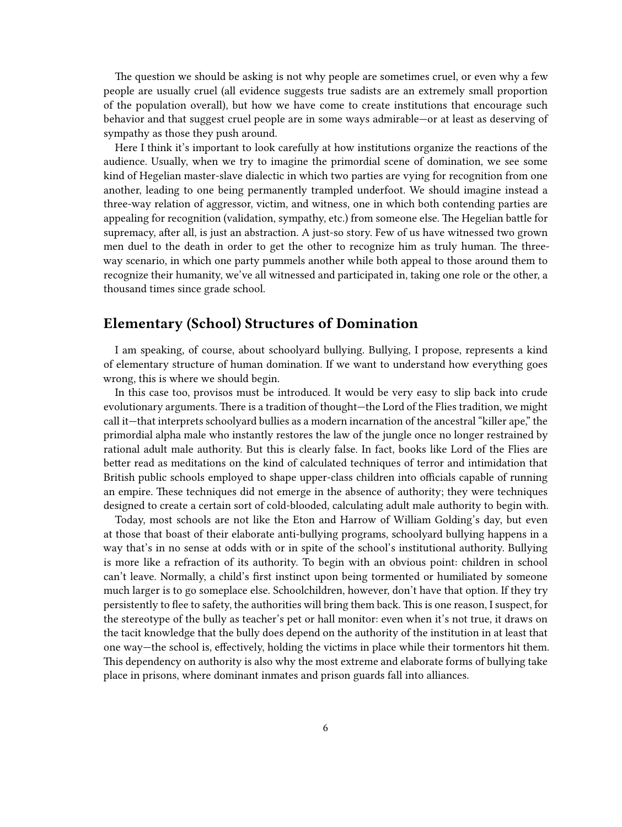The question we should be asking is not why people are sometimes cruel, or even why a few people are usually cruel (all evidence suggests true sadists are an extremely small proportion of the population overall), but how we have come to create institutions that encourage such behavior and that suggest cruel people are in some ways admirable—or at least as deserving of sympathy as those they push around.

Here I think it's important to look carefully at how institutions organize the reactions of the audience. Usually, when we try to imagine the primordial scene of domination, we see some kind of Hegelian master-slave dialectic in which two parties are vying for recognition from one another, leading to one being permanently trampled underfoot. We should imagine instead a three-way relation of aggressor, victim, and witness, one in which both contending parties are appealing for recognition (validation, sympathy, etc.) from someone else. The Hegelian battle for supremacy, after all, is just an abstraction. A just-so story. Few of us have witnessed two grown men duel to the death in order to get the other to recognize him as truly human. The threeway scenario, in which one party pummels another while both appeal to those around them to recognize their humanity, we've all witnessed and participated in, taking one role or the other, a thousand times since grade school.

### <span id="page-5-0"></span>**Elementary (School) Structures of Domination**

I am speaking, of course, about schoolyard bullying. Bullying, I propose, represents a kind of elementary structure of human domination. If we want to understand how everything goes wrong, this is where we should begin.

In this case too, provisos must be introduced. It would be very easy to slip back into crude evolutionary arguments. There is a tradition of thought—the Lord of the Flies tradition, we might call it—that interprets schoolyard bullies as a modern incarnation of the ancestral "killer ape," the primordial alpha male who instantly restores the law of the jungle once no longer restrained by rational adult male authority. But this is clearly false. In fact, books like Lord of the Flies are better read as meditations on the kind of calculated techniques of terror and intimidation that British public schools employed to shape upper-class children into officials capable of running an empire. These techniques did not emerge in the absence of authority; they were techniques designed to create a certain sort of cold-blooded, calculating adult male authority to begin with.

Today, most schools are not like the Eton and Harrow of William Golding's day, but even at those that boast of their elaborate anti-bullying programs, schoolyard bullying happens in a way that's in no sense at odds with or in spite of the school's institutional authority. Bullying is more like a refraction of its authority. To begin with an obvious point: children in school can't leave. Normally, a child's first instinct upon being tormented or humiliated by someone much larger is to go someplace else. Schoolchildren, however, don't have that option. If they try persistently to flee to safety, the authorities will bring them back. This is one reason, I suspect, for the stereotype of the bully as teacher's pet or hall monitor: even when it's not true, it draws on the tacit knowledge that the bully does depend on the authority of the institution in at least that one way—the school is, effectively, holding the victims in place while their tormentors hit them. This dependency on authority is also why the most extreme and elaborate forms of bullying take place in prisons, where dominant inmates and prison guards fall into alliances.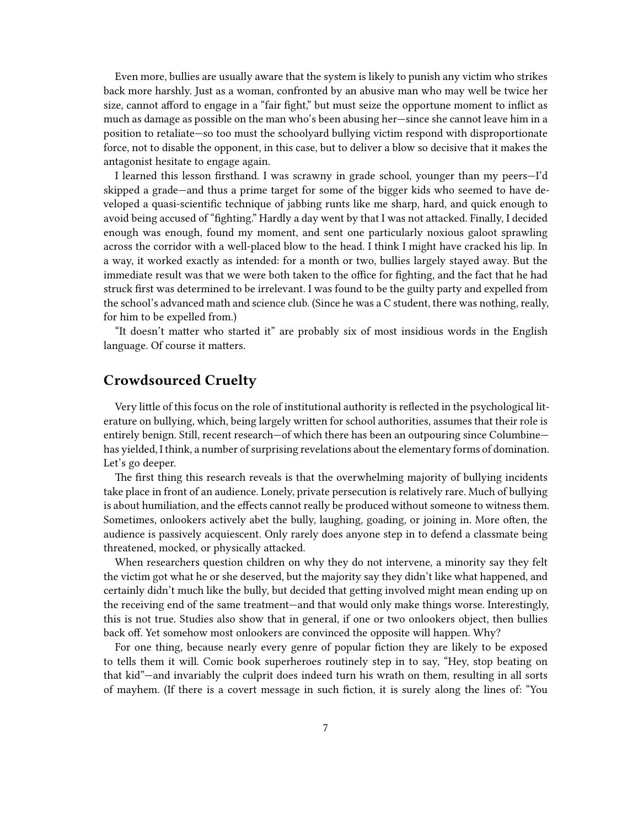Even more, bullies are usually aware that the system is likely to punish any victim who strikes back more harshly. Just as a woman, confronted by an abusive man who may well be twice her size, cannot afford to engage in a "fair fight," but must seize the opportune moment to inflict as much as damage as possible on the man who's been abusing her—since she cannot leave him in a position to retaliate—so too must the schoolyard bullying victim respond with disproportionate force, not to disable the opponent, in this case, but to deliver a blow so decisive that it makes the antagonist hesitate to engage again.

I learned this lesson firsthand. I was scrawny in grade school, younger than my peers—I'd skipped a grade—and thus a prime target for some of the bigger kids who seemed to have developed a quasi-scientific technique of jabbing runts like me sharp, hard, and quick enough to avoid being accused of "fighting." Hardly a day went by that I was not attacked. Finally, I decided enough was enough, found my moment, and sent one particularly noxious galoot sprawling across the corridor with a well-placed blow to the head. I think I might have cracked his lip. In a way, it worked exactly as intended: for a month or two, bullies largely stayed away. But the immediate result was that we were both taken to the office for fighting, and the fact that he had struck first was determined to be irrelevant. I was found to be the guilty party and expelled from the school's advanced math and science club. (Since he was a C student, there was nothing, really, for him to be expelled from.)

"It doesn't matter who started it" are probably six of most insidious words in the English language. Of course it matters.

## <span id="page-6-0"></span>**Crowdsourced Cruelty**

Very little of this focus on the role of institutional authority is reflected in the psychological literature on bullying, which, being largely written for school authorities, assumes that their role is entirely benign. Still, recent research—of which there has been an outpouring since Columbine has yielded, I think, a number of surprising revelations about the elementary forms of domination. Let's go deeper.

The first thing this research reveals is that the overwhelming majority of bullying incidents take place in front of an audience. Lonely, private persecution is relatively rare. Much of bullying is about humiliation, and the effects cannot really be produced without someone to witness them. Sometimes, onlookers actively abet the bully, laughing, goading, or joining in. More often, the audience is passively acquiescent. Only rarely does anyone step in to defend a classmate being threatened, mocked, or physically attacked.

When researchers question children on why they do not intervene, a minority say they felt the victim got what he or she deserved, but the majority say they didn't like what happened, and certainly didn't much like the bully, but decided that getting involved might mean ending up on the receiving end of the same treatment—and that would only make things worse. Interestingly, this is not true. Studies also show that in general, if one or two onlookers object, then bullies back off. Yet somehow most onlookers are convinced the opposite will happen. Why?

For one thing, because nearly every genre of popular fiction they are likely to be exposed to tells them it will. Comic book superheroes routinely step in to say, "Hey, stop beating on that kid"—and invariably the culprit does indeed turn his wrath on them, resulting in all sorts of mayhem. (If there is a covert message in such fiction, it is surely along the lines of: "You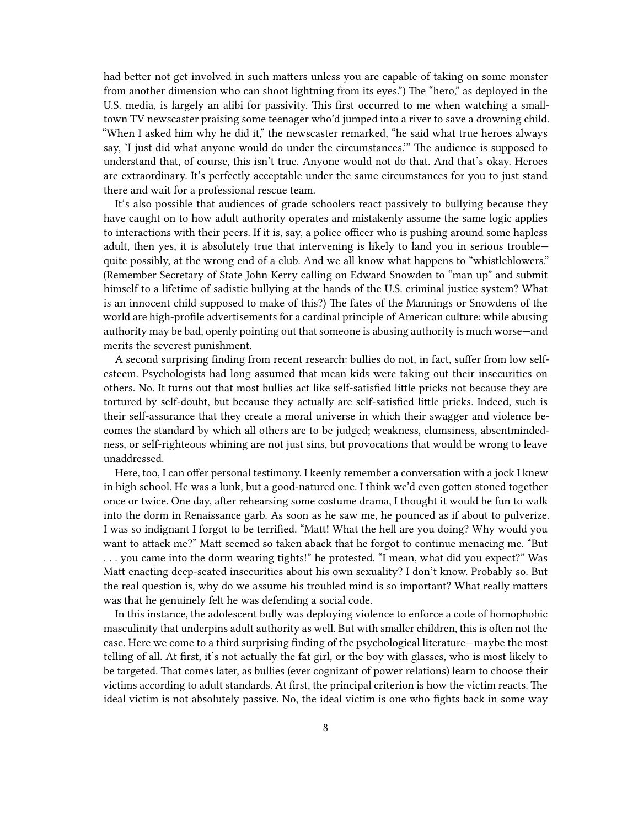had better not get involved in such matters unless you are capable of taking on some monster from another dimension who can shoot lightning from its eyes.") The "hero," as deployed in the U.S. media, is largely an alibi for passivity. This first occurred to me when watching a smalltown TV newscaster praising some teenager who'd jumped into a river to save a drowning child. "When I asked him why he did it," the newscaster remarked, "he said what true heroes always say, 'I just did what anyone would do under the circumstances.'" The audience is supposed to understand that, of course, this isn't true. Anyone would not do that. And that's okay. Heroes are extraordinary. It's perfectly acceptable under the same circumstances for you to just stand there and wait for a professional rescue team.

It's also possible that audiences of grade schoolers react passively to bullying because they have caught on to how adult authority operates and mistakenly assume the same logic applies to interactions with their peers. If it is, say, a police officer who is pushing around some hapless adult, then yes, it is absolutely true that intervening is likely to land you in serious trouble quite possibly, at the wrong end of a club. And we all know what happens to "whistleblowers." (Remember Secretary of State John Kerry calling on Edward Snowden to "man up" and submit himself to a lifetime of sadistic bullying at the hands of the U.S. criminal justice system? What is an innocent child supposed to make of this?) The fates of the Mannings or Snowdens of the world are high-profile advertisements for a cardinal principle of American culture: while abusing authority may be bad, openly pointing out that someone is abusing authority is much worse—and merits the severest punishment.

A second surprising finding from recent research: bullies do not, in fact, suffer from low selfesteem. Psychologists had long assumed that mean kids were taking out their insecurities on others. No. It turns out that most bullies act like self-satisfied little pricks not because they are tortured by self-doubt, but because they actually are self-satisfied little pricks. Indeed, such is their self-assurance that they create a moral universe in which their swagger and violence becomes the standard by which all others are to be judged; weakness, clumsiness, absentmindedness, or self-righteous whining are not just sins, but provocations that would be wrong to leave unaddressed.

Here, too, I can offer personal testimony. I keenly remember a conversation with a jock I knew in high school. He was a lunk, but a good-natured one. I think we'd even gotten stoned together once or twice. One day, after rehearsing some costume drama, I thought it would be fun to walk into the dorm in Renaissance garb. As soon as he saw me, he pounced as if about to pulverize. I was so indignant I forgot to be terrified. "Matt! What the hell are you doing? Why would you want to attack me?" Matt seemed so taken aback that he forgot to continue menacing me. "But . . . you came into the dorm wearing tights!" he protested. "I mean, what did you expect?" Was Matt enacting deep-seated insecurities about his own sexuality? I don't know. Probably so. But the real question is, why do we assume his troubled mind is so important? What really matters was that he genuinely felt he was defending a social code.

In this instance, the adolescent bully was deploying violence to enforce a code of homophobic masculinity that underpins adult authority as well. But with smaller children, this is often not the case. Here we come to a third surprising finding of the psychological literature—maybe the most telling of all. At first, it's not actually the fat girl, or the boy with glasses, who is most likely to be targeted. That comes later, as bullies (ever cognizant of power relations) learn to choose their victims according to adult standards. At first, the principal criterion is how the victim reacts. The ideal victim is not absolutely passive. No, the ideal victim is one who fights back in some way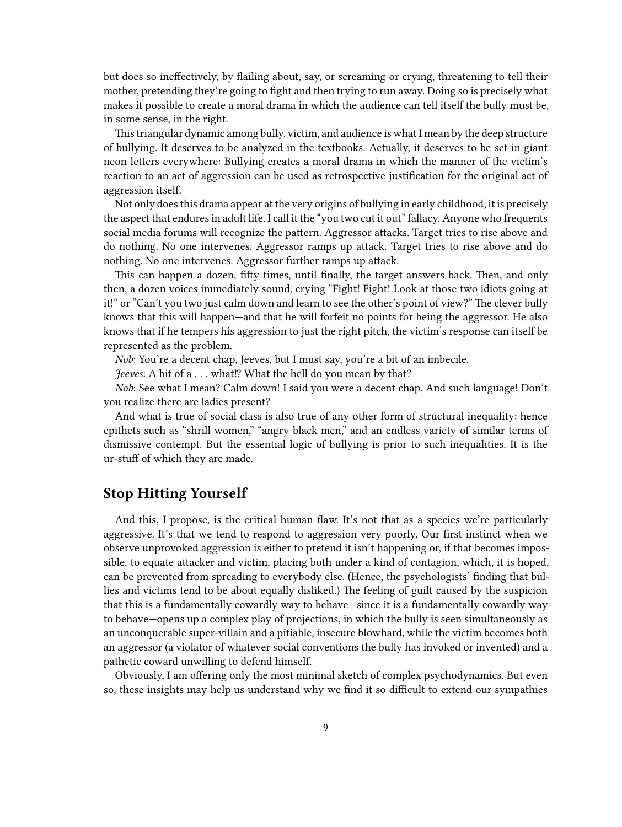but does so ineffectively, by flailing about, say, or screaming or crying, threatening to tell their mother, pretending they're going to fight and then trying to run away. Doing so is precisely what makes it possible to create a moral drama in which the audience can tell itself the bully must be, in some sense, in the right.

This triangular dynamic among bully, victim, and audience is what I mean by the deep structure of bullying. It deserves to be analyzed in the textbooks. Actually, it deserves to be set in giant neon letters everywhere: Bullying creates a moral drama in which the manner of the victim's reaction to an act of aggression can be used as retrospective justification for the original act of aggression itself.

Not only does this drama appear at the very origins of bullying in early childhood; it is precisely the aspect that endures in adult life. I call it the "you two cut it out" fallacy. Anyone who frequents social media forums will recognize the pattern. Aggressor attacks. Target tries to rise above and do nothing. No one intervenes. Aggressor ramps up attack. Target tries to rise above and do nothing. No one intervenes. Aggressor further ramps up attack.

This can happen a dozen, fifty times, until finally, the target answers back. Then, and only then, a dozen voices immediately sound, crying "Fight! Fight! Look at those two idiots going at it!" or "Can't you two just calm down and learn to see the other's point of view?" The clever bully knows that this will happen—and that he will forfeit no points for being the aggressor. He also knows that if he tempers his aggression to just the right pitch, the victim's response can itself be represented as the problem.

*Nob*: You're a decent chap, Jeeves, but I must say, you're a bit of an imbecile.

*Jeeves*: A bit of a . . . what!? What the hell do you mean by that?

*Nob*: See what I mean? Calm down! I said you were a decent chap. And such language! Don't you realize there are ladies present?

And what is true of social class is also true of any other form of structural inequality: hence epithets such as "shrill women," "angry black men," and an endless variety of similar terms of dismissive contempt. But the essential logic of bullying is prior to such inequalities. It is the ur-stuff of which they are made.

#### <span id="page-8-0"></span>**Stop Hitting Yourself**

And this, I propose, is the critical human flaw. It's not that as a species we're particularly aggressive. It's that we tend to respond to aggression very poorly. Our first instinct when we observe unprovoked aggression is either to pretend it isn't happening or, if that becomes impossible, to equate attacker and victim, placing both under a kind of contagion, which, it is hoped, can be prevented from spreading to everybody else. (Hence, the psychologists' finding that bullies and victims tend to be about equally disliked.) The feeling of guilt caused by the suspicion that this is a fundamentally cowardly way to behave—since it is a fundamentally cowardly way to behave—opens up a complex play of projections, in which the bully is seen simultaneously as an unconquerable super-villain and a pitiable, insecure blowhard, while the victim becomes both an aggressor (a violator of whatever social conventions the bully has invoked or invented) and a pathetic coward unwilling to defend himself.

Obviously, I am offering only the most minimal sketch of complex psychodynamics. But even so, these insights may help us understand why we find it so difficult to extend our sympathies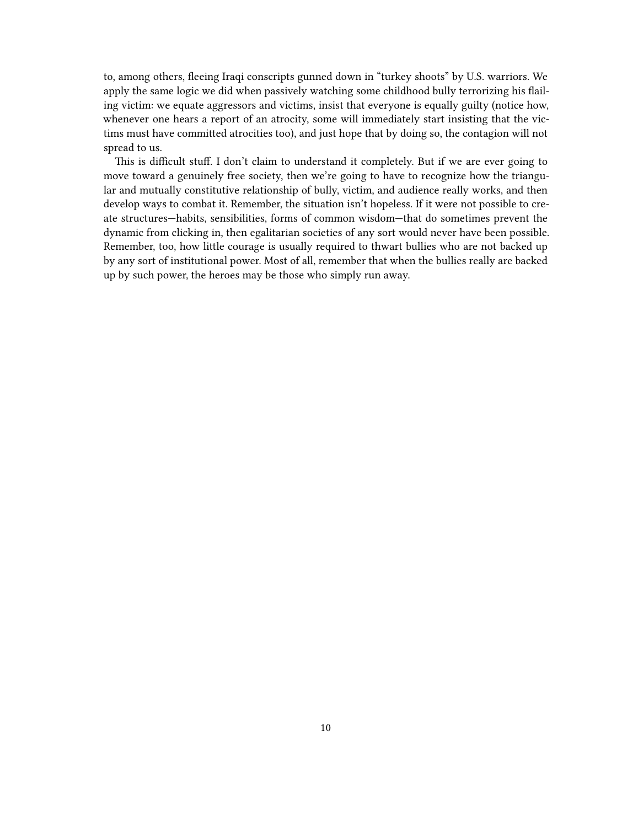to, among others, fleeing Iraqi conscripts gunned down in "turkey shoots" by U.S. warriors. We apply the same logic we did when passively watching some childhood bully terrorizing his flailing victim: we equate aggressors and victims, insist that everyone is equally guilty (notice how, whenever one hears a report of an atrocity, some will immediately start insisting that the victims must have committed atrocities too), and just hope that by doing so, the contagion will not spread to us.

This is difficult stuff. I don't claim to understand it completely. But if we are ever going to move toward a genuinely free society, then we're going to have to recognize how the triangular and mutually constitutive relationship of bully, victim, and audience really works, and then develop ways to combat it. Remember, the situation isn't hopeless. If it were not possible to create structures—habits, sensibilities, forms of common wisdom—that do sometimes prevent the dynamic from clicking in, then egalitarian societies of any sort would never have been possible. Remember, too, how little courage is usually required to thwart bullies who are not backed up by any sort of institutional power. Most of all, remember that when the bullies really are backed up by such power, the heroes may be those who simply run away.